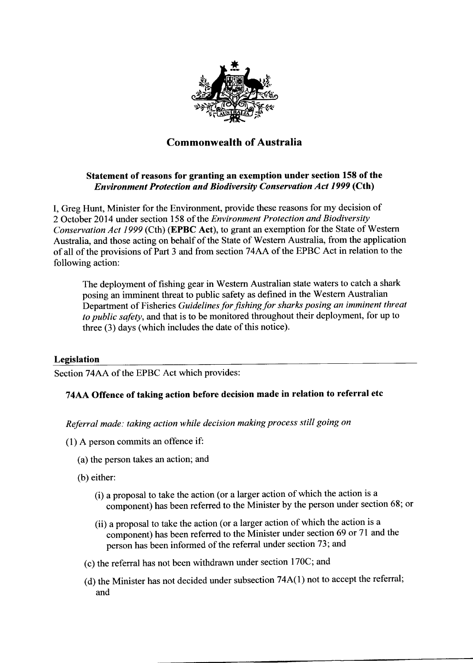

# Commonwealth of Australia

## Statement of reasons for granting an exemption under section 158 of the Environment Protection and Biodiversity Conservation Act 1999 (Cth)

I, Greg Hunt, Minister for the Environment, provide these reasons for my decision of 2 October 2014 under section 158 of the Environment Protection and Biodiversity Conservation Act 1999 (Cth) (EPBC Act), to grant an exemption for the State of Western Australia, and those acting on behalf of the State of Westem Australia, from the application of all of the provisions of Part 3 and from section 74AA of the EPBC Act in relation to the following action:

The deployment of fishing gear in Westem Australian state waters to catch a shark posing an imminent threat to public safety as defined in the Western Australian Department of Fisheries Guidelines for fishing for sharks posing an imminent threat to public safety, and that is to be monitored throughout their deployment, for up to three (3) days (which includes the date of this notice).

## Legislation

Section 74AA of the EPBC Act which provides:

## 74AA Offence of taking action before decision made in relation to referral etc

Referral made: taking action while decision making process still going on

- (l) A person commits an offence if:
	- (a) the person takes an action; and
	- (b) either:
		- (i) a proposal to take the action (or a larger action of which the action is <sup>a</sup> component) has been referred to the Minister by the person under section 68; or
		- (ii) a proposal to take the action (or a larger action of which the action is <sup>a</sup> component) has been referred to the Minister under section 69 or 7I and the person has been informed of the referral under section 73; and
		- (c) the referral has not been withdrawn under section 170C; and
		- (d) the Minister has not decided under subsection 74A(l) not to accept the referral; and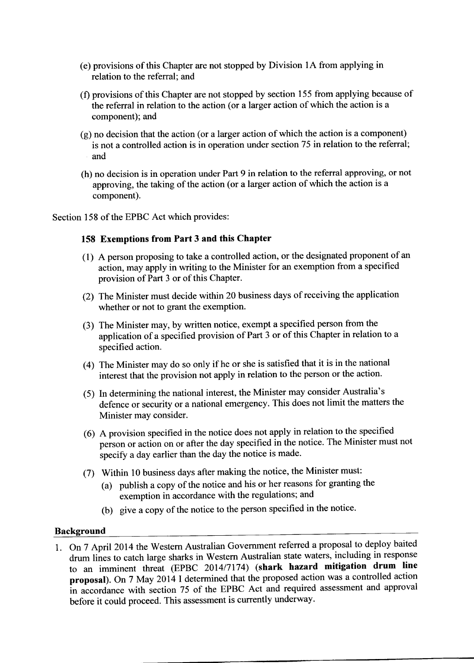- (e) provisions of this Chapter are not stopped by Division lA from applying in relation to the referral; and
- (f) provisions of this Chapter are not stopped by section 155 from applying because of the referral in relation to the action (or a larger action of which the action is a component); and
- (g) no decision that the action (or a larger action of which the action is a component) is not a controlled action is in operation under section 75 in relation to the referral; and
- (h) no decision is in operation under Part 9 in relation to the referral approving, or not approving, the taking of the action (or a larger action of which the action is a component).

Section 158 of the EPBC Act which provides:

### 158 Exemptions from Part 3 and this Chapter

- ( 1 ) A person proposing to take a controlled action, or the designated proponent of an action, may apply in writing to the Minister for an exemption from a specified provision of Part 3 or of this Chapter.
- (2) The Minister must decide within 20 business days of receiving the application whether or not to grant the exemption.
- (3) The Minister may, by written notice, exempt a specified person from the application of a specified provision of Part 3 or of this Chapter in relation to <sup>a</sup> specified action.
- (4) The Minister may do so only if he or she is satisfied that it is in the national interest that the provision not apply in relation to the person or the action.
- (5) In determining the national interest, the Minister may consider Australia's defence or security or a national emergency. This does not limit the matters the Minister may consider.
- (6) A provision specified in the notice does not apply in relation to the specified person or action on or after the day specified in the notice. The Minister must not specify a day earlier than the day the notice is made.
- (7) Within l0 business days after making the notice, the Minister must:
	- (a) publish a copy of the notice and his or her reasons for granting the exemption in accordance with the regulations; and
	- (b) give a copy of the notice to the person specified in the notice.

### **Background**

1. On 7 April 2014 the Westem Australian Government referred a proposal to deploy baited drum lines to catch large sharks in Western Australian state waters, including in response to an imminent threat (EPBC 2014/7174) (shark hazard mitigation drum line proposal). On 7 May 2014 I determined that the proposed action was a controlled action in accordance with section 75 of the EPBC Act and required assessment and approval before it could proceed. This assessment is currently underway.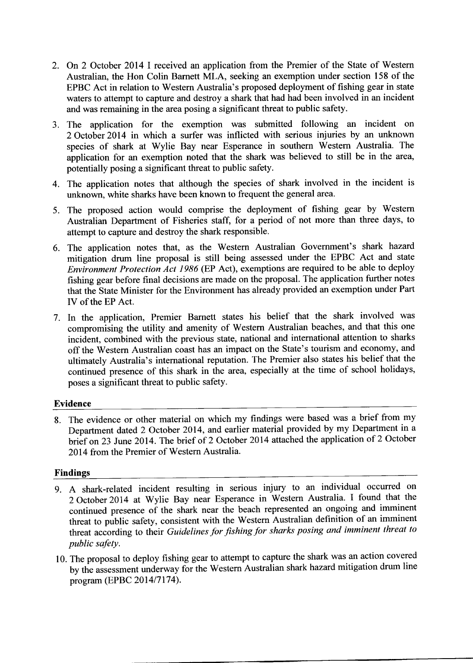- 2. On 2 October 2014 I received an application from the Premier of the State of Western Australian, the Hon Colin Bamett MLA, seeking an exemption under section 158 of the EPBC Act in relation to Western Australia's proposed deployment of fishing gear in state waters to attempt to capture and destroy a shark that had had been involved in an incident and was remaining in the area posing a significant threat to public safety.
- 3. The application for the exemption was submitted following an incident on 2 October 2014 in which a surfer was inflicted with serious injuries by an unknown species of shark at Wylie Bay near Esperance in southern Western Australia. The application for an exemption noted that the shark was believed to still be in the area, potentially posing a significant threat to public safety.
- 4. The application notes that although the species of shark involved in the incident is unknown, white sharks have been known to frequent the general area.
- 5. The proposed action would comprise the deployment of fishing gear by Western Australian Department of Fisheries staff, for a period of not more than three days, to attempt to capture and destroy the shark responsible.
- 6. The application notes that, as the Western Australian Government's shark hazard mitigation drum line proposal is still being assessed under the EPBC Act and state Environment Protection Act 1986 (EP Act), exemptions are required to be able to deploy fishing gear before final decisions are made on the proposal. The application further notes that the State Minister for the Environment has already provided an exemption under Part IV of the EP Act.
- 7. In the application, Premier Barnett states his belief that the shark involved was compromising the utility and amenity of Western Australian beaches, and that this one incident, combined with the previous state, national and international attention to sharks off the Western Australian coast has an impact on the State's tourism and economy, and ultimately Australia's international reputation. The Premier also states his belief that the continued presence of this shark in the area, especially at the time of school holidays, poses a significant threat to public safety.

## Evidence

8. The evidence or other material on which my findings were based was a brief from my Department dated 2 October 2014, and earlier material provided by my Department in <sup>a</sup> brief on 23 June 2014. The brief of 2 October 2014 attached the application of 2 October 2014 from the Premier of Western Australia.

## Findings

- g. A shark-related incident resulting in serious injury to an individual occurred on <sup>2</sup>October 2014 at Wylie Bay near Esperance in Western Australia. I found that the continued presence of the shark near the beach represented an ongoing and imminent threat to public safety, consistent with the Western Australian definition of an imminent threat according to their Guidelines for fishing for sharks posing and imminent threat to public safety.
- 10. The proposal to deploy frshing gear to attempt to capture the shark was an action covered by the assessment underway for the Western Australian shark hazard mitigation drum line program (EPBC 2014/7174).